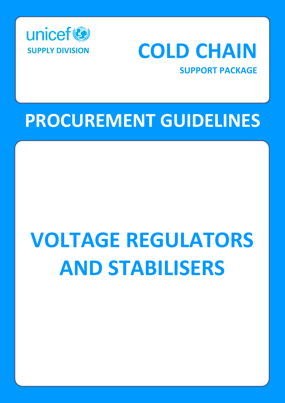



**SUPPORT PACKAGE**

## **PROCUREMENT GUIDELINES**

# **VOLTAGE REGULATORS AND STABILISERS**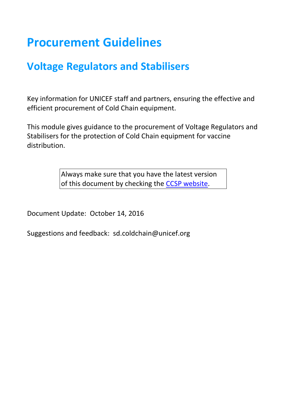## **Procurement Guidelines**

### **Voltage Regulators and Stabilisers**

Key information for UNICEF staff and partners, ensuring the effective and efficient procurement of Cold Chain equipment.

This module gives guidance to the procurement of Voltage Regulators and Stabilisers for the protection of Cold Chain equipment for vaccine distribution.

> Always make sure that you have the latest version of this document by checking the [CCSP website.](https://www.unicef.org/supply/cold-chain-technical-support)

Document Update: October 14, 2016

Suggestions and feedback: sd.coldchain@unicef.org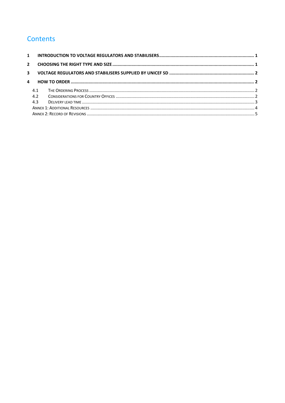#### **Contents**

| $\overline{a}$ |     |  |  |
|----------------|-----|--|--|
|                | 4.1 |  |  |
|                | 4.2 |  |  |
|                | 4.3 |  |  |
|                |     |  |  |
|                |     |  |  |
|                |     |  |  |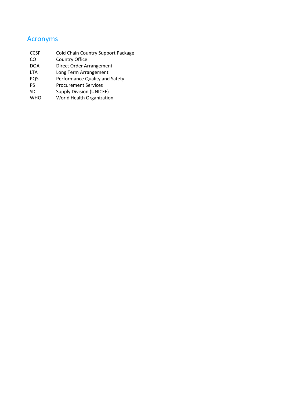#### Acronyms

| <b>CCSP</b> | <b>Cold Chain Country Support Package</b> |
|-------------|-------------------------------------------|
| CO          | Country Office                            |
| <b>DOA</b>  | Direct Order Arrangement                  |
| <b>LTA</b>  | Long Term Arrangement                     |
| <b>PQS</b>  | Performance Quality and Safety            |
| PS          | <b>Procurement Services</b>               |
| SD          | <b>Supply Division (UNICEF)</b>           |
| <b>WHO</b>  | World Health Organization                 |
|             |                                           |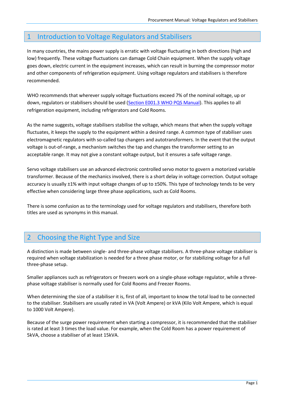#### <span id="page-4-0"></span>1 Introduction to Voltage Regulators and Stabilisers

In many countries, the mains power supply is erratic with voltage fluctuating in both directions (high and low) frequently. These voltage fluctuations can damage Cold Chain equipment. When the supply voltage goes down, electric current in the equipment increases, which can result in burning the compressor motor and other components of refrigeration equipment. Using voltage regulators and stabilisers is therefore recommended.

WHO recommends that wherever supply voltage fluctuations exceed 7% of the nominal voltage, up or down, regulators or stabilisers should be used [\(Section E001.3 WHO PQS Manual\)](http://apps.who.int/immunization_standards/vaccine_quality/pqs_catalogue/index.aspx). This applies to all refrigeration equipment, including refrigerators and Cold Rooms.

As the name suggests, voltage stabilisers stabilise the voltage, which means that when the supply voltage fluctuates, it keeps the supply to the equipment within a desired range. A common type of stabiliser uses electromagnetic regulators with so-called tap changers and autotransformers. In the event that the output voltage is out-of-range, a mechanism switches the tap and changes the transformer setting to an acceptable range. It may not give a constant voltage output, but it ensures a safe voltage range.

Servo voltage stabilisers use an advanced electronic controlled servo motor to govern a motorized variable transformer. Because of the mechanics involved, there is a short delay in voltage correction. Output voltage accuracy is usually ±1% with input voltage changes of up to ±50%. This type of technology tends to be very effective when considering large three phase applications, such as Cold Rooms.

There is some confusion as to the terminology used for voltage regulators and stabilisers, therefore both titles are used as synonyms in this manual.

#### <span id="page-4-1"></span>2 Choosing the Right Type and Size

A distinction is made between single- and three-phase voltage stabilisers. A three-phase voltage stabiliser is required when voltage stabilization is needed for a three phase motor, or for stabilizing voltage for a full three-phase setup.

Smaller appliances such as refrigerators or freezers work on a single-phase voltage regulator, while a threephase voltage stabiliser is normally used for Cold Rooms and Freezer Rooms.

When determining the size of a stabiliser it is, first of all, important to know the total load to be connected to the stabiliser. Stabilisers are usually rated in VA (Volt Ampere) or kVA (Kilo Volt Ampere, which is equal to 1000 Volt Ampere).

Because of the surge power requirement when starting a compressor, it is recommended that the stabiliser is rated at least 3 times the load value. For example, when the Cold Room has a power requirement of 5kVA, choose a stabiliser of at least 15kVA.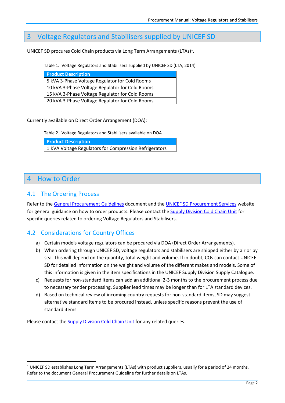#### <span id="page-5-0"></span>3 Voltage Regulators and Stabilisers supplied by UNICEF SD

UNICEF SD procures Cold Chain products via Long Term Arrangements (LTAs)<sup>1</sup>.

Table 1. Voltage Regulators and Stabilisers supplied by UNICEF SD (LTA, 2014)

| <b>Product Description</b>                      |
|-------------------------------------------------|
| 5 kVA 3-Phase Voltage Regulator for Cold Rooms  |
| 10 kVA 3-Phase Voltage Regulator for Cold Rooms |
| 15 kVA 3-Phase Voltage Regulator for Cold Rooms |
| 20 kVA 3-Phase Voltage Regulator for Cold Rooms |

Currently available on Direct Order Arrangement (DOA):

Table 2. Voltage Regulators and Stabilisers available on DOA

|  | <b>Product Description</b> |  |
|--|----------------------------|--|
|--|----------------------------|--|

1 KVA Voltage Regulators for Compression Refrigerators

#### <span id="page-5-1"></span>4 How to Order

**.** 

#### <span id="page-5-2"></span>4.1 The Ordering Process

Refer to th[e General Procurement Guidelines](http://www.unicef.org/supply/index_68367.html) document and the [UNICEF SD Procurement Services](http://www.unicef.org/supply/index_procurement_services.html) website for general guidance on how to order products. Please contact the [Supply Division Cold Chain Unit](mailto:SD.ColdChain@unicef.org) for specific queries related to ordering Voltage Regulators and Stabilisers.

#### <span id="page-5-3"></span>4.2 Considerations for Country Offices

- a) Certain models voltage regulators can be procured via DOA (Direct Order Arrangements).
- b) When ordering through UNICEF SD, voltage regulators and stabilisers are shipped either by air or by sea. This will depend on the quantity, total weight and volume. If in doubt, COs can contact UNICEF SD for detailed information on the weight and volume of the different makes and models. Some of this information is given in the item specifications in the UNICEF Supply Division Supply Catalogue.
- c) Requests for non-standard items can add an additional 2-3 months to the procurement process due to necessary tender processing. Supplier lead times may be longer than for LTA standard devices.
- d) Based on technical review of incoming country requests for non-standard items, SD may suggest alternative standard items to be procured instead, unless specific reasons prevent the use of standard items.

Please contact the **Supply Division Cold Chain Unit** for any related queries.

<sup>&</sup>lt;sup>1</sup> UNICEF SD establishes Long Term Arrangements (LTAs) with product suppliers, usually for a period of 24 months. Refer to the document General Procurement Guideline for further details on LTAs.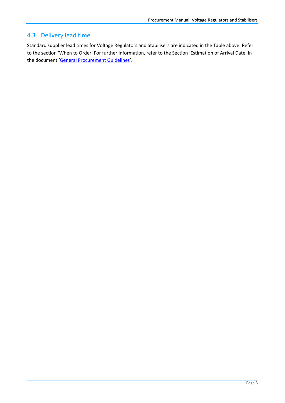#### <span id="page-6-0"></span>4.3 Delivery lead time

Standard supplier lead times for Voltage Regulators and Stabilisers are indicated in the Table above. Refer to the section 'When to Order' For further information, refer to the Section 'Estimation of Arrival Date' in the document '[General Procurement Guidelines](http://www.unicef.org/supply/index_68367.html)'.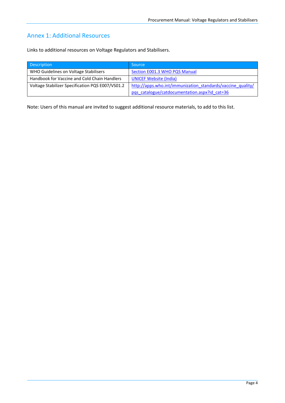#### <span id="page-7-0"></span>Annex 1: Additional Resources

Links to additional resources on Voltage Regulators and Stabilisers.

| <b>Description</b>                               | <b>Source</b>                                               |
|--------------------------------------------------|-------------------------------------------------------------|
| WHO Guidelines on Voltage Stabilisers            | Section E001.3 WHO PQS Manual                               |
| Handbook for Vaccine and Cold Chain Handlers     | <b>UNICEF Website (India)</b>                               |
| Voltage Stabilizer Specification PQS E007/VS01.2 | http://apps.who.int/immunization standards/vaccine quality/ |
|                                                  | pqs catalogue/catdocumentation.aspx?id cat=36               |

Note: Users of this manual are invited to suggest additional resource materials, to add to this list.